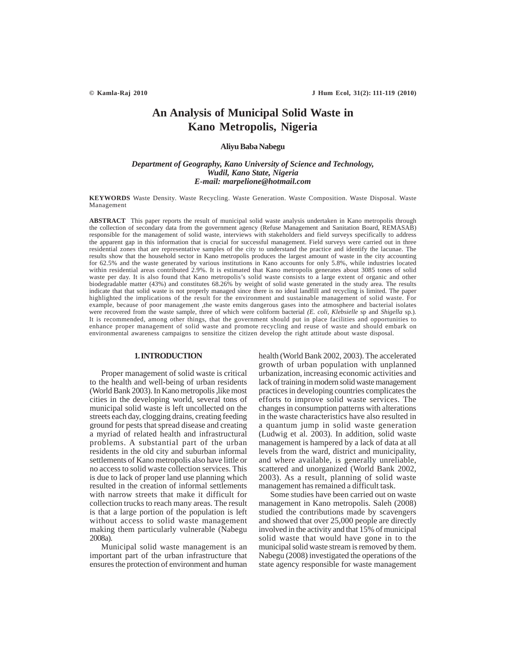# **An Analysis of Municipal Solid Waste in Kano Metropolis, Nigeria**

## **Aliyu Baba Nabegu**

# *Department of Geography, Kano University of Science and Technology, Wudil, Kano State, Nigeria E-mail: marpelione@hotmail.com*

**KEYWORDS** Waste Density. Waste Recycling. Waste Generation. Waste Composition. Waste Disposal. Waste Management

**ABSTRACT** This paper reports the result of municipal solid waste analysis undertaken in Kano metropolis through the collection of secondary data from the government agency (Refuse Management and Sanitation Board, REMASAB) responsible for the management of solid waste, interviews with stakeholders and field surveys specifically to address the apparent gap in this information that is crucial for successful management. Field surveys were carried out in three residential zones that are representative samples of the city to understand the practice and identify the lacunae. The results show that the household sector in Kano metropolis produces the largest amount of waste in the city accounting for 62.5% and the waste generated by various institutions in Kano accounts for only 5.8%, while industries located within residential areas contributed 2.9%. It is estimated that Kano metropolis generates about 3085 tones of solid waste per day. It is also found that Kano metropolis's solid waste consists to a large extent of organic and other biodegradable matter (43%) and constitutes 68.26% by weight of solid waste generated in the study area. The results indicate that that solid waste is not properly managed since there is no ideal landfill and recycling is limited. The paper highlighted the implications of the result for the environment and sustainable management of solid waste. For example, because of poor management ,the waste emits dangerous gases into the atmosphere and bacterial isolates were recovered from the waste sample, three of which were coliform bacterial *(E. coli, Klebsielle* sp and *Shigella* sp.)*.* It is recommended, among other things, that the government should put in place facilities and opportunities to enhance proper management of solid waste and promote recycling and reuse of waste and should embark on environmental awareness campaigns to sensitize the citizen develop the right attitude about waste disposal.

## **1. INTRODUCTION**

Proper management of solid waste is critical to the health and well-being of urban residents (World Bank 2003). In Kano metropolis ,like most cities in the developing world, several tons of municipal solid waste is left uncollected on the streets each day, clogging drains, creating feeding ground for pests that spread disease and creating a myriad of related health and infrastructural problems. A substantial part of the urban residents in the old city and suburban informal settlements of Kano metropolis also have little or no access to solid waste collection services. This is due to lack of proper land use planning which resulted in the creation of informal settlements with narrow streets that make it difficult for collection trucks to reach many areas. The result is that a large portion of the population is left without access to solid waste management making them particularly vulnerable (Nabegu 2008a).

Municipal solid waste management is an important part of the urban infrastructure that ensures the protection of environment and human health (World Bank 2002, 2003). The accelerated growth of urban population with unplanned urbanization, increasing economic activities and lack of training in modern solid waste management practices in developing countries complicates the efforts to improve solid waste services. The changes in consumption patterns with alterations in the waste characteristics have also resulted in a quantum jump in solid waste generation (Ludwig et al. 2003). In addition, solid waste management is hampered by a lack of data at all levels from the ward, district and municipality, and where available, is generally unreliable, scattered and unorganized (World Bank 2002, 2003). As a result, planning of solid waste management has remained a difficult task.

Some studies have been carried out on waste management in Kano metropolis. Saleh (2008) studied the contributions made by scavengers and showed that over 25,000 people are directly involved in the activity and that 15% of municipal solid waste that would have gone in to the municipal solid waste stream is removed by them. Nabegu (2008) investigated the operations of the state agency responsible for waste management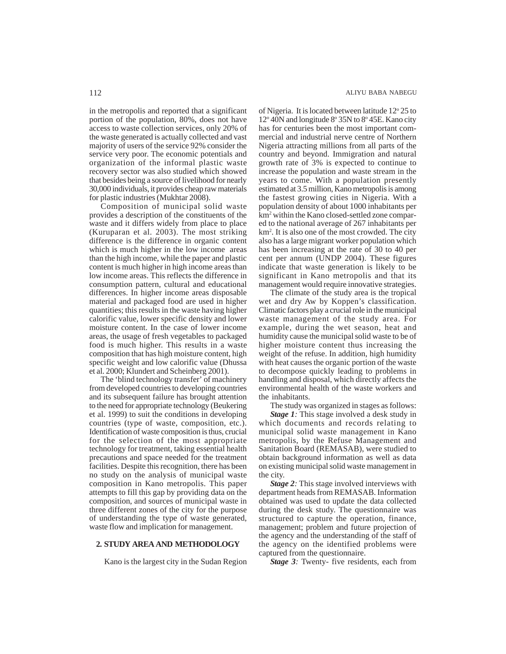in the metropolis and reported that a significant portion of the population, 80%, does not have access to waste collection services, only 20% of the waste generated is actually collected and vast majority of users of the service 92% consider the service very poor. The economic potentials and organization of the informal plastic waste recovery sector was also studied which showed that besides being a source of livelihood for nearly 30,000 individuals, it provides cheap raw materials for plastic industries (Mukhtar 2008).

Composition of municipal solid waste provides a description of the constituents of the waste and it differs widely from place to place (Kuruparan et al. 2003). The most striking difference is the difference in organic content which is much higher in the low income areas than the high income, while the paper and plastic content is much higher in high income areas than low income areas. This reflects the difference in consumption pattern, cultural and educational differences. In higher income areas disposable material and packaged food are used in higher quantities; this results in the waste having higher calorific value, lower specific density and lower moisture content. In the case of lower income areas, the usage of fresh vegetables to packaged food is much higher. This results in a waste composition that has high moisture content, high specific weight and low calorific value (Dhussa et al. 2000; Klundert and Scheinberg 2001).

The 'blind technology transfer' of machinery from developed countries to developing countries and its subsequent failure has brought attention to the need for appropriate technology (Beukering et al. 1999) to suit the conditions in developing countries (type of waste, composition, etc.). Identification of waste composition is thus, crucial for the selection of the most appropriate technology for treatment, taking essential health precautions and space needed for the treatment facilities. Despite this recognition, there has been no study on the analysis of municipal waste composition in Kano metropolis. This paper attempts to fill this gap by providing data on the composition, and sources of municipal waste in three different zones of the city for the purpose of understanding the type of waste generated, waste flow and implication for management.

# **2. STUDY AREA AND METHODOLOGY**

Kano is the largest city in the Sudan Region

of Nigeria. It is located between latitude 12° 25 to 12° 40N and longitude 8° 35N to 8° 45E. Kano city has for centuries been the most important commercial and industrial nerve centre of Northern Nigeria attracting millions from all parts of the country and beyond. Immigration and natural growth rate of 3% is expected to continue to increase the population and waste stream in the years to come. With a population presently estimated at 3.5 million, Kano metropolis is among the fastest growing cities in Nigeria. With a population density of about 1000 inhabitants per km2 within the Kano closed-settled zone compared to the national average of 267 inhabitants per km2 . It is also one of the most crowded. The city also has a large migrant worker population which has been increasing at the rate of 30 to 40 per cent per annum (UNDP 2004). These figures indicate that waste generation is likely to be significant in Kano metropolis and that its management would require innovative strategies.

The climate of the study area is the tropical wet and dry Aw by Koppen's classification. Climatic factors play a crucial role in the municipal waste management of the study area. For example, during the wet season, heat and humidity cause the municipal solid waste to be of higher moisture content thus increasing the weight of the refuse. In addition, high humidity with heat causes the organic portion of the waste to decompose quickly leading to problems in handling and disposal, which directly affects the environmental health of the waste workers and the inhabitants.

The study was organized in stages as follows:

*Stage 1:* This stage involved a desk study in which documents and records relating to municipal solid waste management in Kano metropolis, by the Refuse Management and Sanitation Board (REMASAB), were studied to obtain background information as well as data on existing municipal solid waste management in the city.

*Stage 2:* This stage involved interviews with department heads from REMASAB. Information obtained was used to update the data collected during the desk study. The questionnaire was structured to capture the operation, finance, management; problem and future projection of the agency and the understanding of the staff of the agency on the identified problems were captured from the questionnaire.

*Stage 3:* Twenty- five residents, each from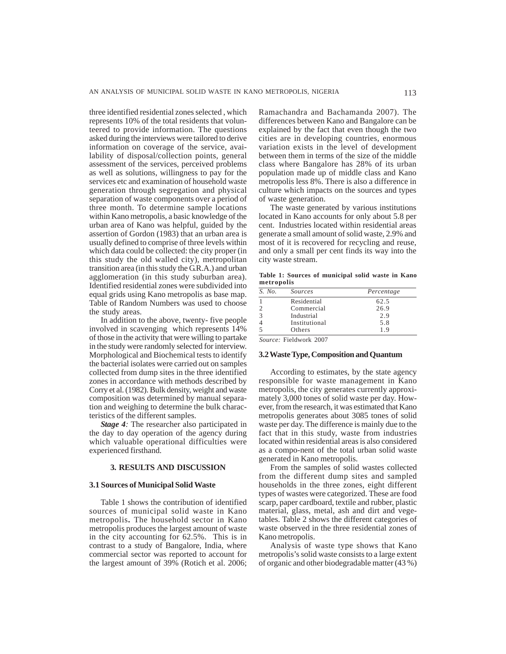three identified residential zones selected , which represents 10% of the total residents that volunteered to provide information. The questions asked during the interviews were tailored to derive information on coverage of the service, availability of disposal/collection points, general assessment of the services, perceived problems as well as solutions, willingness to pay for the services etc and examination of household waste generation through segregation and physical separation of waste components over a period of three month. To determine sample locations within Kano metropolis, a basic knowledge of the urban area of Kano was helpful, guided by the assertion of Gordon (1983) that an urban area is usually defined to comprise of three levels within which data could be collected: the city proper (in this study the old walled city), metropolitan transition area (in this study the G.R.A.) and urban agglomeration (in this study suburban area). Identified residential zones were subdivided into equal grids using Kano metropolis as base map. Table of Random Numbers was used to choose the study areas.

In addition to the above, twenty- five people involved in scavenging which represents 14% of those in the activity that were willing to partake in the study were randomly selected for interview. Morphological and Biochemical tests to identify the bacterial isolates were carried out on samples collected from dump sites in the three identified zones in accordance with methods described by Corry et al. (1982). Bulk density, weight and waste composition was determined by manual separation and weighing to determine the bulk characteristics of the different samples.

*Stage 4:* The researcher also participated in the day to day operation of the agency during which valuable operational difficulties were experienced firsthand.

# **3. RESULTS AND DISCUSSION**

#### **3.1 Sources of Municipal Solid Waste**

Table 1 shows the contribution of identified sources of municipal solid waste in Kano metropolis**.** The household sector in Kano metropolis produces the largest amount of waste in the city accounting for 62.5%. This is in contrast to a study of Bangalore, India, where commercial sector was reported to account for the largest amount of 39% (Rotich et al. 2006; Ramachandra and Bachamanda 2007). The differences between Kano and Bangalore can be explained by the fact that even though the two cities are in developing countries, enormous variation exists in the level of development between them in terms of the size of the middle class where Bangalore has 28% of its urban population made up of middle class and Kano metropolis less 8%. There is also a difference in culture which impacts on the sources and types of waste generation.

The waste generated by various institutions located in Kano accounts for only about 5.8 per cent. Industries located within residential areas generate a small amount of solid waste, 2.9% and most of it is recovered for recycling and reuse, and only a small per cent finds its way into the city waste stream.

**Table 1: Sources of municipal solid waste in Kano metropolis**

| S. No.         | Sources                                           | Percentage |
|----------------|---------------------------------------------------|------------|
|                | Residential                                       | 62.5       |
| $\overline{2}$ | Commercial                                        | 26.9       |
| 3              | Industrial                                        | 2.9        |
| $\overline{4}$ | Institutional                                     | 5.8        |
| 5              | Others                                            | 1.9        |
|                | $C_{\alpha\mu\nu\rho\alpha\delta}$ Eiglamete 2007 |            |

*Source:* Fieldwork 2007

#### **3.2 Waste Type, Composition and Quantum**

According to estimates, by the state agency responsible for waste management in Kano metropolis, the city generates currently approximately 3,000 tones of solid waste per day. However, from the research, it was estimated that Kano metropolis generates about 3085 tones of solid waste per day. The difference is mainly due to the fact that in this study, waste from industries located within residential areas is also considered as a compo-nent of the total urban solid waste generated in Kano metropolis.

From the samples of solid wastes collected from the different dump sites and sampled households in the three zones, eight different types of wastes were categorized. These are food scarp, paper cardboard, textile and rubber, plastic material, glass, metal, ash and dirt and vegetables. Table 2 shows the different categories of waste observed in the three residential zones of Kano metropolis.

Analysis of waste type shows that Kano metropolis's solid waste consists to a large extent of organic and other biodegradable matter (43 %)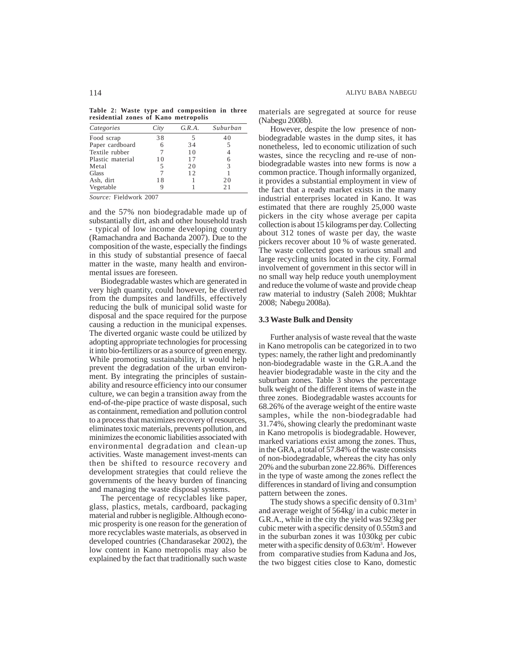**Table 2: Waste type and composition in three residential zones of Kano metropolis**

| Categories       | City | G.R.A. | Suburban |
|------------------|------|--------|----------|
| Food scrap       | 38   | 5      | 40       |
| Paper cardboard  |      | 34     | 5        |
| Textile rubber   |      | 10     |          |
| Plastic material | 10   | 17     |          |
| Metal            | 5    | 20     | 3        |
| Glass            |      | 12     |          |
| Ash, dirt        | 18   |        | 20       |
| Vegetable        |      |        | 21       |

*Source:* Fieldwork 2007

and the 57% non biodegradable made up of substantially dirt, ash and other household trash - typical of low income developing country (Ramachandra and Bachanda 2007). Due to the composition of the waste, especially the findings in this study of substantial presence of faecal matter in the waste, many health and environmental issues are foreseen.

Biodegradable wastes which are generated in very high quantity, could however, be diverted from the dumpsites and landfills, effectively reducing the bulk of municipal solid waste for disposal and the space required for the purpose causing a reduction in the municipal expenses. The diverted organic waste could be utilized by adopting appropriate technologies for processing it into bio-fertilizers or as a source of green energy. While promoting sustainability, it would help prevent the degradation of the urban environment. By integrating the principles of sustainability and resource efficiency into our consumer culture, we can begin a transition away from the end-of-the-pipe practice of waste disposal, such as containment, remediation and pollution control to a process that maximizes recovery of resources, eliminates toxic materials, prevents pollution, and minimizes the economic liabilities associated with environmental degradation and clean-up activities. Waste management invest-ments can then be shifted to resource recovery and development strategies that could relieve the governments of the heavy burden of financing and managing the waste disposal systems.

The percentage of recyclables like paper, glass, plastics, metals, cardboard, packaging material and rubber is negligible. Although economic prosperity is one reason for the generation of more recyclables waste materials, as observed in developed countries (Chandarasekar 2002), the low content in Kano metropolis may also be explained by the fact that traditionally such waste

materials are segregated at source for reuse (Nabegu 2008b).

However, despite the low presence of nonbiodegradable wastes in the dump sites, it has nonetheless, led to economic utilization of such wastes, since the recycling and re-use of nonbiodegradable wastes into new forms is now a common practice. Though informally organized, it provides a substantial employment in view of the fact that a ready market exists in the many industrial enterprises located in Kano. It was estimated that there are roughly 25,000 waste pickers in the city whose average per capita collection is about 15 kilograms per day. Collecting about 312 tones of waste per day, the waste pickers recover about 10 % of waste generated. The waste collected goes to various small and large recycling units located in the city. Formal involvement of government in this sector will in no small way help reduce youth unemployment and reduce the volume of waste and provide cheap raw material to industry (Saleh 2008; Mukhtar 2008; Nabegu 2008a).

#### **3.3 Waste Bulk and Density**

Further analysis of waste reveal that the waste in Kano metropolis can be categorized in to two types: namely, the rather light and predominantly non-biodegradable waste in the G.R.A.and the heavier biodegradable waste in the city and the suburban zones. Table 3 shows the percentage bulk weight of the different items of waste in the three zones. Biodegradable wastes accounts for 68.26% of the average weight of the entire waste samples, while the non-biodegradable had 31.74%, showing clearly the predominant waste in Kano metropolis is biodegradable. However, marked variations exist among the zones. Thus, in the GRA, a total of 57.84% of the waste consists of non-biodegradable, whereas the city has only 20% and the suburban zone 22.86%. Differences in the type of waste among the zones reflect the differences in standard of living and consumption pattern between the zones.

The study shows a specific density of  $0.31 \text{m}^3$ and average weight of 564kg/ in a cubic meter in G.R.A., while in the city the yield was 923kg per cubic meter with a specific density of 0.55tm3 and in the suburban zones it was 1030kg per cubic meter with a specific density of 0.63t/m<sup>3</sup>. However from comparative studies from Kaduna and Jos, the two biggest cities close to Kano, domestic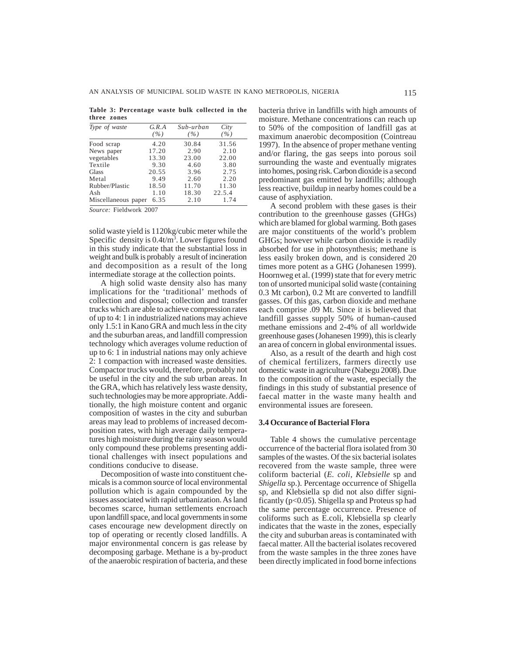|             | Table 3: Percentage waste bulk collected in the |  |  |  |
|-------------|-------------------------------------------------|--|--|--|
| three zones |                                                 |  |  |  |

| Type of waste       | G.R.A<br>( %) | Sub-urban<br>(%) | City<br>(%) |
|---------------------|---------------|------------------|-------------|
| Food scrap          | 4.20          | 30.84            | 31.56       |
| News paper          | 17.20         | 2.90             | 2.10        |
| vegetables          | 13.30         | 23.00            | 22.00       |
| Textile             | 9.30          | 4.60             | 3.80        |
| <b>Glass</b>        | 20.55         | 3.96             | 2.75        |
| Metal               | 9.49          | 2.60             | 2.20        |
| Rubber/Plastic      | 18.50         | 11.70            | 11.30       |
| Ash                 | 1.10          | 18.30            | 22.5.4      |
| Miscellaneous paper | 6.35          | 2.10             | 1.74        |

*Source:* Fieldwork 2007

solid waste yield is 1120kg/cubic meter while the Specific density is  $0.4t/m<sup>3</sup>$ . Lower figures found in this study indicate that the substantial loss in weight and bulk is probably a result of incineration and decomposition as a result of the long intermediate storage at the collection points.

A high solid waste density also has many implications for the 'traditional' methods of collection and disposal; collection and transfer trucks which are able to achieve compression rates of up to 4: 1 in industrialized nations may achieve only 1.5:1 in Kano GRA and much less in the city and the suburban areas, and landfill compression technology which averages volume reduction of up to 6: 1 in industrial nations may only achieve 2: 1 compaction with increased waste densities. Compactor trucks would, therefore, probably not be useful in the city and the sub urban areas. In the GRA, which has relatively less waste density, such technologies may be more appropriate. Additionally, the high moisture content and organic composition of wastes in the city and suburban areas may lead to problems of increased decomposition rates, with high average daily temperatures high moisture during the rainy season would only compound these problems presenting additional challenges with insect populations and conditions conducive to disease.

Decomposition of waste into constituent chemicals is a common source of local environmental pollution which is again compounded by the issues associated with rapid urbanization. As land becomes scarce, human settlements encroach upon landfill space, and local governments in some cases encourage new development directly on top of operating or recently closed landfills. A major environmental concern is gas release by decomposing garbage. Methane is a by-product of the anaerobic respiration of bacteria, and these bacteria thrive in landfills with high amounts of moisture. Methane concentrations can reach up to 50% of the composition of landfill gas at maximum anaerobic decomposition (Cointreau 1997). In the absence of proper methane venting and/or flaring, the gas seeps into porous soil surrounding the waste and eventually migrates into homes, posing risk. Carbon dioxide is a second predominant gas emitted by landfills; although less reactive, buildup in nearby homes could be a cause of asphyxiation.

A second problem with these gases is their contribution to the greenhouse gasses (GHGs) which are blamed for global warming. Both gases are major constituents of the world's problem GHGs; however while carbon dioxide is readily absorbed for use in photosynthesis; methane is less easily broken down, and is considered 20 times more potent as a GHG (Johanesen 1999). Hoornweg et al. (1999) state that for every metric ton of unsorted municipal solid waste (containing 0.3 Mt carbon), 0.2 Mt are converted to landfill gasses. Of this gas, carbon dioxide and methane each comprise .09 Mt. Since it is believed that landfill gasses supply 50% of human-caused methane emissions and 2-4% of all worldwide greenhouse gases (Johanesen 1999), this is clearly an area of concern in global environmental issues.

Also, as a result of the dearth and high cost of chemical fertilizers, farmers directly use domestic waste in agriculture (Nabegu 2008). Due to the composition of the waste, especially the findings in this study of substantial presence of faecal matter in the waste many health and environmental issues are foreseen.

### **3.4 Occurance of Bacterial Flora**

Table 4 shows the cumulative percentage occurrence of the bacterial flora isolated from 30 samples of the wastes. Of the six bacterial isolates recovered from the waste sample, three were coliform bacterial (*E. coli*, *Klebsielle* sp and *Shigella* sp.). Percentage occurrence of Shigella sp, and Klebsiella sp did not also differ significantly ( $p<0.05$ ). Shigella sp and Proteus sp had the same percentage occurrence. Presence of coliforms such as E.coli, Klebsiella sp clearly indicates that the waste in the zones, especially the city and suburban areas is contaminated with faecal matter. All the bacterial isolates recovered from the waste samples in the three zones have been directly implicated in food borne infections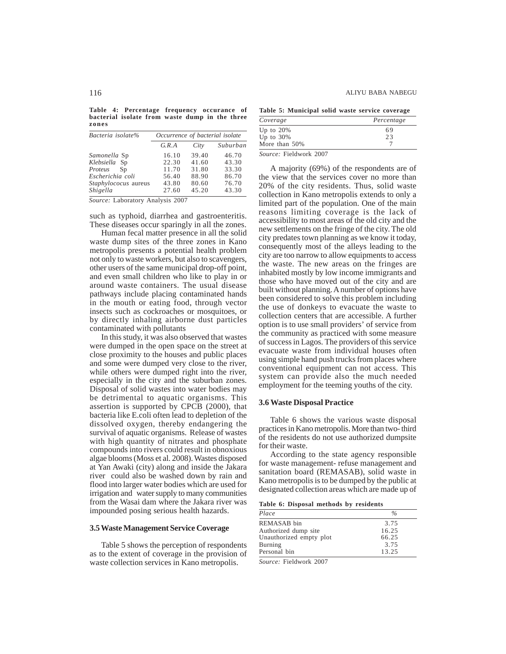**Table 4: Percentage frequency occurance of bacterial isolate from waste dump in the three zones**

| Bacteria isolate%    | Occurrence of bacterial isolate |       |          |  |
|----------------------|---------------------------------|-------|----------|--|
|                      | G.R.A                           | City  | Suburban |  |
| Samonella Sp         | 16.10                           | 39.40 | 46.70    |  |
| Klebsiella Sp        | 22.30                           | 41.60 | 43.30    |  |
| Proteus<br>Sp        | 11.70                           | 31.80 | 33.30    |  |
| Escherichia coli     | 56.40                           | 88.90 | 86.70    |  |
| Staphylococus aureus | 43.80                           | 80.60 | 76.70    |  |
| Shigella             | 27.60                           | 45.20 | 43.30    |  |

*Source:* Laboratory Analysis 2007

such as typhoid, diarrhea and gastroenteritis. These diseases occur sparingly in all the zones.

Human fecal matter presence in all the solid waste dump sites of the three zones in Kano metropolis presents a potential health problem not only to waste workers, but also to scavengers, other users of the same municipal drop-off point, and even small children who like to play in or around waste containers. The usual disease pathways include placing contaminated hands in the mouth or eating food, through vector insects such as cockroaches or mosquitoes, or by directly inhaling airborne dust particles contaminated with pollutants

In this study, it was also observed that wastes were dumped in the open space on the street at close proximity to the houses and public places and some were dumped very close to the river, while others were dumped right into the river, especially in the city and the suburban zones. Disposal of solid wastes into water bodies may be detrimental to aquatic organisms. This assertion is supported by CPCB (2000), that bacteria like E.coli often lead to depletion of the dissolved oxygen, thereby endangering the survival of aquatic organisms. Release of wastes with high quantity of nitrates and phosphate compounds into rivers could result in obnoxious algae blooms (Moss et al. 2008). Wastes disposed at Yan Awaki (city) along and inside the Jakara river could also be washed down by rain and flood into larger water bodies which are used for irrigation and water supply to many communities from the Wasai dam where the Jakara river was impounded posing serious health hazards.

## **3.5 Waste Management Service Coverage**

Table 5 shows the perception of respondents as to the extent of coverage in the provision of waste collection services in Kano metropolis.

**Table 5: Municipal solid waste service coverage**

| Coverage      | Percentage |
|---------------|------------|
| Up to $20\%$  | 69         |
| Up to $30\%$  | 23         |
| More than 50% |            |

*Source:* Fieldwork 2007

A majority (69%) of the respondents are of the view that the services cover no more than 20% of the city residents. Thus, solid waste collection in Kano metropolis extends to only a limited part of the population. One of the main reasons limiting coverage is the lack of accessibility to most areas of the old city and the new settlements on the fringe of the city. The old city predates town planning as we know it today, consequently most of the alleys leading to the city are too narrow to allow equipments to access the waste. The new areas on the fringes are inhabited mostly by low income immigrants and those who have moved out of the city and are built without planning. A number of options have been considered to solve this problem including the use of donkeys to evacuate the waste to collection centers that are accessible. A further option is to use small providers' of service from the community as practiced with some measure of success in Lagos. The providers of this service evacuate waste from individual houses often using simple hand push trucks from places where conventional equipment can not access. This system can provide also the much needed employment for the teeming youths of the city.

#### **3.6 Waste Disposal Practice**

Table 6 shows the various waste disposal practices in Kano metropolis. More than two- third of the residents do not use authorized dumpsite for their waste.

According to the state agency responsible for waste management- refuse management and sanitation board (REMASAB), solid waste in Kano metropolis is to be dumped by the public at designated collection areas which are made up of

**Table 6: Disposal methods by residents**

| Place                   | $\%$  |  |
|-------------------------|-------|--|
| REMASAB bin             | 3.75  |  |
| Authorized dump site    | 16.25 |  |
| Unauthorized empty plot | 66.25 |  |
| Burning                 | 3.75  |  |
| Personal bin            | 13.25 |  |

*Source:* Fieldwork 2007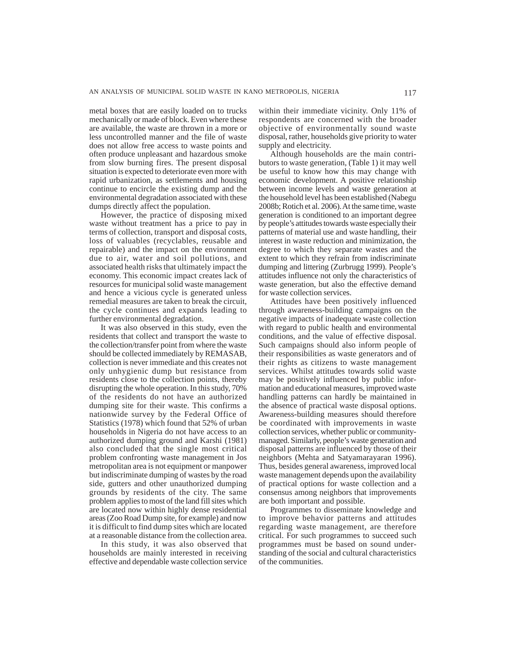metal boxes that are easily loaded on to trucks mechanically or made of block. Even where these are available, the waste are thrown in a more or less uncontrolled manner and the file of waste does not allow free access to waste points and often produce unpleasant and hazardous smoke from slow burning fires. The present disposal situation is expected to deteriorate even more with rapid urbanization, as settlements and housing continue to encircle the existing dump and the environmental degradation associated with these dumps directly affect the population.

However, the practice of disposing mixed waste without treatment has a price to pay in terms of collection, transport and disposal costs, loss of valuables (recyclables, reusable and repairable) and the impact on the environment due to air, water and soil pollutions, and associated health risks that ultimately impact the economy. This economic impact creates lack of resources for municipal solid waste management and hence a vicious cycle is generated unless remedial measures are taken to break the circuit, the cycle continues and expands leading to further environmental degradation.

It was also observed in this study, even the residents that collect and transport the waste to the collection/transfer point from where the waste should be collected immediately by REMASAB, collection is never immediate and this creates not only unhygienic dump but resistance from residents close to the collection points, thereby disrupting the whole operation. In this study, 70% of the residents do not have an authorized dumping site for their waste. This confirms a nationwide survey by the Federal Office of Statistics (1978) which found that 52% of urban households in Nigeria do not have access to an authorized dumping ground and Karshi (1981) also concluded that the single most critical problem confronting waste management in Jos metropolitan area is not equipment or manpower but indiscriminate dumping of wastes by the road side, gutters and other unauthorized dumping grounds by residents of the city. The same problem applies to most of the land fill sites which are located now within highly dense residential areas (Zoo Road Dump site, for example) and now it is difficult to find dump sites which are located at a reasonable distance from the collection area.

In this study, it was also observed that households are mainly interested in receiving effective and dependable waste collection service within their immediate vicinity. Only 11% of respondents are concerned with the broader objective of environmentally sound waste disposal, rather, households give priority to water supply and electricity.

Although households are the main contributors to waste generation, (Table 1) it may well be useful to know how this may change with economic development. A positive relationship between income levels and waste generation at the household level has been established (Nabegu 2008b; Rotich et al. 2006). At the same time, waste generation is conditioned to an important degree by people's attitudes towards waste especially their patterns of material use and waste handling, their interest in waste reduction and minimization, the degree to which they separate wastes and the extent to which they refrain from indiscriminate dumping and littering (Zurbrugg 1999). People's attitudes influence not only the characteristics of waste generation, but also the effective demand for waste collection services.

Attitudes have been positively influenced through awareness-building campaigns on the negative impacts of inadequate waste collection with regard to public health and environmental conditions, and the value of effective disposal. Such campaigns should also inform people of their responsibilities as waste generators and of their rights as citizens to waste management services. Whilst attitudes towards solid waste may be positively influenced by public information and educational measures, improved waste handling patterns can hardly be maintained in the absence of practical waste disposal options. Awareness-building measures should therefore be coordinated with improvements in waste collection services, whether public or communitymanaged. Similarly, people's waste generation and disposal patterns are influenced by those of their neighbors (Mehta and Satyamarayaran 1996). Thus, besides general awareness, improved local waste management depends upon the availability of practical options for waste collection and a consensus among neighbors that improvements are both important and possible.

Programmes to disseminate knowledge and to improve behavior patterns and attitudes regarding waste management, are therefore critical. For such programmes to succeed such programmes must be based on sound understanding of the social and cultural characteristics of the communities.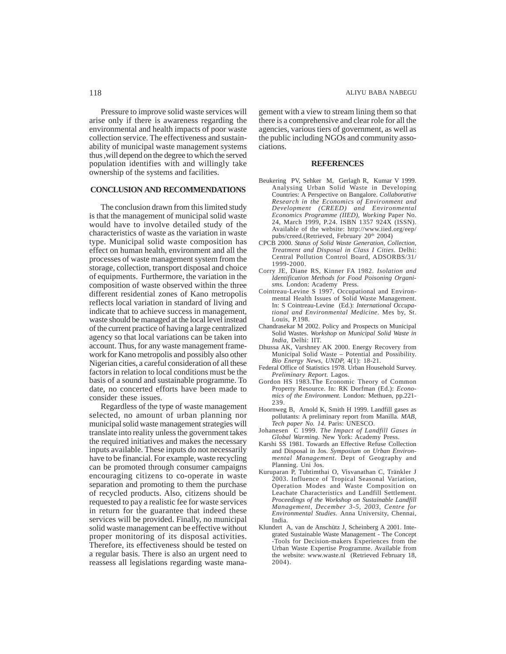Pressure to improve solid waste services will arise only if there is awareness regarding the environmental and health impacts of poor waste collection service. The effectiveness and sustainability of municipal waste management systems thus ,will depend on the degree to which the served population identifies with and willingly take ownership of the systems and facilities.

# **CONCLUSION AND RECOMMENDATIONS**

The conclusion drawn from this limited study is that the management of municipal solid waste would have to involve detailed study of the characteristics of waste as the variation in waste type. Municipal solid waste composition has effect on human health, environment and all the processes of waste management system from the storage, collection, transport disposal and choice of equipments. Furthermore, the variation in the composition of waste observed within the three different residential zones of Kano metropolis reflects local variation in standard of living and indicate that to achieve success in management, waste should be managed at the local level instead of the current practice of having a large centralized agency so that local variations can be taken into account. Thus, for any waste management framework for Kano metropolis and possibly also other Nigerian cities, a careful consideration of all these factors in relation to local conditions must be the basis of a sound and sustainable programme. To date, no concerted efforts have been made to consider these issues.

Regardless of the type of waste management selected, no amount of urban planning nor municipal solid waste management strategies will translate into reality unless the government takes the required initiatives and makes the necessary inputs available. These inputs do not necessarily have to be financial. For example, waste recycling can be promoted through consumer campaigns encouraging citizens to co-operate in waste separation and promoting to them the purchase of recycled products. Also, citizens should be requested to pay a realistic fee for waste services in return for the guarantee that indeed these services will be provided. Finally, no municipal solid waste management can be effective without proper monitoring of its disposal activities. Therefore, its effectiveness should be tested on a regular basis. There is also an urgent need to reassess all legislations regarding waste management with a view to stream lining them so that there is a comprehensive and clear role for all the agencies, various tiers of government, as well as the public including NGOs and community associations.

#### **REFERENCES**

- Beukering PV, Sehker M, Gerlagh R, Kumar V 1999. Analysing Urban Solid Waste in Developing Countries: A Perspective on Bangalore. *Collaborative Research in the Economics of Environment and Development (CREED) and Environmental Economics Programme (IIED), Working* Paper No. 24, March 1999, P.24. ISBN 1357 924X (ISSN). Available of the website: http://www.iied.org/eep/ pubs/creed.(Retrieved, February 20<sup>th</sup> 2004)
- CPCB 2000. *Status of Solid Waste Generation, Collection, Treatment and Disposal in Class I Cities.* Delhi: Central Pollution Control Board, ADSORBS/31/ 1999-2000.
- Corry JE, Diane RS, Kinner FA 1982. *Isolation and Identification Methods for Food Poisoning Organisms.* London: Academy Press.
- Cointreau-Levine S 1997. Occupational and Environmental Health Issues of Solid Waste Management. In: S Cointreau-Levine (Ed.): *International Occupational and Environmental Medicine.* Mes by, St. Louis, P.198.
- Chandrasekar M 2002. Policy and Prospects on Municipal Solid Wastes. *Workshop on Municipal Solid Waste in India,* Delhi: IIT.
- Dhussa AK, Varshney AK 2000. Energy Recovery from Municipal Solid Waste – Potential and Possibility. *Bio Energy News, UNDP,* 4(1): 18-21.
- Federal Office of Statistics 1978. Urban Household Survey. *Preliminary Report.* Lagos.
- Gordon HS 1983.The Economic Theory of Common Property Resource. In: RK Dorfman (Ed.): *Economics of the Environment.* London: Methuen, pp.221- 239*.*
- Hoornweg B, Arnold K, Smith H 1999. Landfill gases as pollutants: A preliminary report from Manilla. *MAB, Tech paper No. 14.* Paris: UNESCO.
- Johanesen C 1999. *The Impact of Landfill Gases in Global Warming.* New York: Academy Press.
- Karshi SS 1981. Towards an Effective Refuse Collection and Disposal in Jos. *Symposium on Urban Environmental Management.* Dept of Geography and Planning. Uni Jos.
- Kuruparan P, Tubtimthai O, Visvanathan C, Tränkler J 2003. Influence of Tropical Seasonal Variation, Operation Modes and Waste Composition on Leachate Characteristics and Landfill Settlement. *Proceedings of the Workshop on Sustainable Landfill Management, December 3-5, 2003, Centre for Environmental Studies.* Anna University, Chennai, India.
- Klundert A, van de Anschütz J, Scheinberg A 2001. Integrated Sustainable Waste Management - The Concept -Tools for Decision-makers Experiences from the Urban Waste Expertise Programme. Available from the website: www.waste.nl (Retrieved February 18, 2004).